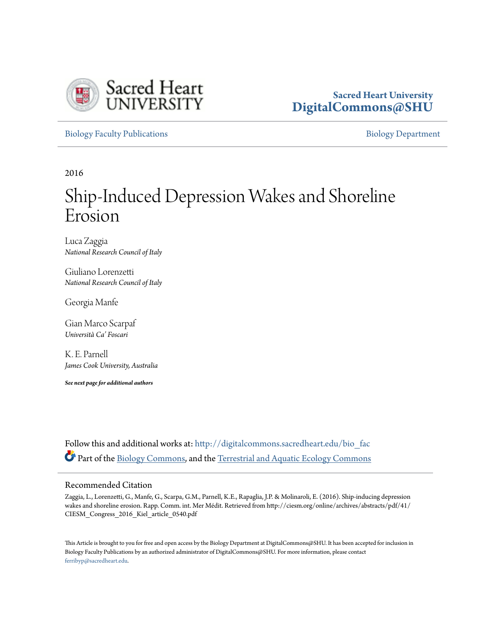

# **Sacred Heart University [DigitalCommons@SHU](http://digitalcommons.sacredheart.edu?utm_source=digitalcommons.sacredheart.edu%2Fbio_fac%2F125&utm_medium=PDF&utm_campaign=PDFCoverPages)**

[Biology Faculty Publications](http://digitalcommons.sacredheart.edu/bio_fac?utm_source=digitalcommons.sacredheart.edu%2Fbio_fac%2F125&utm_medium=PDF&utm_campaign=PDFCoverPages) **[Biology Department](http://digitalcommons.sacredheart.edu/bio?utm_source=digitalcommons.sacredheart.edu%2Fbio_fac%2F125&utm_medium=PDF&utm_campaign=PDFCoverPages)** 

2016

# Ship-Induced Depression Wakes and Shoreline Erosion

Luca Zaggia *National Research Council of Italy*

Giuliano Lorenzetti *National Research Council of Italy*

Georgia Manfe

Gian Marco Scarpaf *Università Ca' Foscari*

K. E. Parnell *James Cook University, Australia*

*See next page for additional authors*

Follow this and additional works at: [http://digitalcommons.sacredheart.edu/bio\\_fac](http://digitalcommons.sacredheart.edu/bio_fac?utm_source=digitalcommons.sacredheart.edu%2Fbio_fac%2F125&utm_medium=PDF&utm_campaign=PDFCoverPages) Part of the [Biology Commons,](http://network.bepress.com/hgg/discipline/41?utm_source=digitalcommons.sacredheart.edu%2Fbio_fac%2F125&utm_medium=PDF&utm_campaign=PDFCoverPages) and the [Terrestrial and Aquatic Ecology Commons](http://network.bepress.com/hgg/discipline/20?utm_source=digitalcommons.sacredheart.edu%2Fbio_fac%2F125&utm_medium=PDF&utm_campaign=PDFCoverPages)

# Recommended Citation

Zaggia, L., Lorenzetti, G., Manfe, G., Scarpa, G.M., Parnell, K.E., Rapaglia, J.P. & Molinaroli, E. (2016). Ship-inducing depression wakes and shoreline erosion. Rapp. Comm. int. Mer Médit. Retrieved from http://ciesm.org/online/archives/abstracts/pdf/41/ CIESM\_Congress\_2016\_Kiel\_article\_0540.pdf

This Article is brought to you for free and open access by the Biology Department at DigitalCommons@SHU. It has been accepted for inclusion in Biology Faculty Publications by an authorized administrator of DigitalCommons@SHU. For more information, please contact [ferribyp@sacredheart.edu](mailto:ferribyp@sacredheart.edu).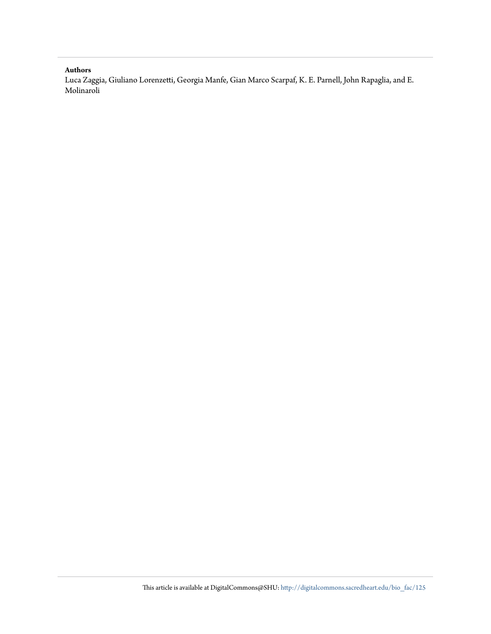## **Authors**

Luca Zaggia, Giuliano Lorenzetti, Georgia Manfe, Gian Marco Scarpaf, K. E. Parnell, John Rapaglia, and E. Molinaroli